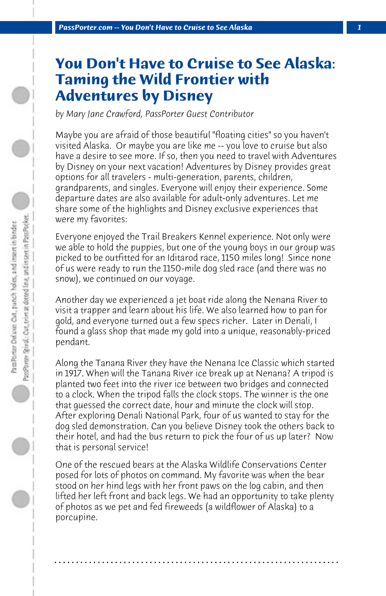## **You Don't Have to Cruise to See Alaska: Taming the Wild Frontier with Adventures by Disney**

*by Mary Jane Crawford, PassPorter Guest Contributor*

Maybe you are afraid of those beautiful "floating cities" so you haven't visited Alaska. Or maybe you are like me -- you love to cruise but also have a desire to see more. If so, then you need to travel with Adventures by Disney on your next vacation! Adventures by Disney provides great options for all travelers - multi-generation, parents, children, grandparents, and singles. Everyone will enjoy their experience. Some departure dates are also available for adult-only adventures. Let me share some of the highlights and Disney exclusive experiences that were my favorites:

Everyone enjoyed the Trail Breakers Kennel experience. Not only were we able to hold the puppies, but one of the young boys in our group was picked to be outfitted for an Iditarod race, 1150 miles long! Since none of us were ready to run the 1150-mile dog sled race (and there was no snow), we continued on our voyage.

Another day we experienced a jet boat ride along the Nenana River to visit a trapper and learn about his life. We also learned how to pan for gold, and everyone turned out a few specs richer. Later in Denali, I found a glass shop that made my gold into a unique, reasonably-priced pendant.

Along the Tanana River they have the Nenana Ice Classic which started in 1917. When will the Tanana River ice break up at Nenana? A tripod is planted two feet into the river ice between two bridges and connected to a clock. When the tripod falls the clock stops. The winner is the one that guessed the correct date, hour and minute the clock will stop. After exploring Denali National Park, four of us wanted to stay for the dog sled demonstration. Can you believe Disney took the others back to their hotel, and had the bus return to pick the four of us up later? Now that is personal service!

One of the rescued bears at the Alaska Wildlife Conservations Center posed for lots of photos on command. My favorite was when the bear stood on her hind legs with her front paws on the log cabin, and then lifted her left front and back legs. We had an opportunity to take plenty of photos as we pet and fed fireweeds (a wildflower of Alaska) to a porcupine.

**. . . . . . . . . . . . . . . . . . . . . . . . . . . . . . . . . . . . . . . . . . . . . . . . . . . . . . . . . . . . . . . . . .**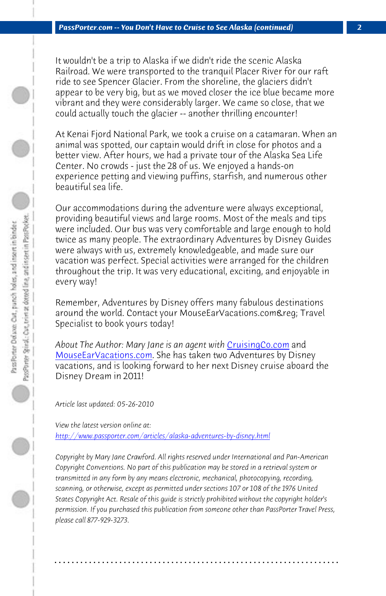*PassPorter.com -- You Don't Have to Cruise to See Alaska (continued) 2*

It wouldn't be a trip to Alaska if we didn't ride the scenic Alaska Railroad. We were transported to the tranquil Placer River for our raft ride to see Spencer Glacier. From the shoreline, the glaciers didn't appear to be very big, but as we moved closer the ice blue became more vibrant and they were considerably larger. We came so close, that we could actually touch the glacier -- another thrilling encounter!

At Kenai Fjord National Park, we took a cruise on a catamaran. When an animal was spotted, our captain would drift in close for photos and a better view. After hours, we had a private tour of the Alaska Sea Life Center. No crowds - just the 28 of us. We e[njoyed a hands-on](http://www.cruisingco.com/) [experience petting and v](http://www.mouseearvacations.com/)iewing puffins, starfish, and numerous other beautiful sea life.

Our accommodations during the adventure were always exceptional, providing beautiful views and large rooms. Most of the meals and tips were included. Our bus was very comfortable and large enough to hold twice as many people. The extraordinary Adventures by Disney Guides were always with us, extremely knowledgeable, and made sure our [vacation was perfect. Special activities were arranged f](http://www.passporter.com/articles/alaska-adventures-by-disney.php)or the children throughout the trip. It was very educational, exciting, and enjoyable in every way!

Remember, Adventures by Disney offers many fabulous destinations around the world. Contact your MouseEarVacations.com&req; Travel Specialist to book yours today!

*About The Author: Mary Jane is an agent with* CruisingCo.com and MouseEarVacations.com. She has taken two Adventures by Disney vacations, and is looking forward to her next Disney cruise aboard the Disney Dream in 2011!

*Article last updated: 05-26-2010*

*View the latest version online at: http://www.passporter.com/articles/alaska-adventures-by-disney.html*

*Copyright by Mary Jane Crawford. All rights reserved under International and Pan-American Copyright Conventions. No part of this publication may be stored in a retrieval system or transmitted in any form by any means electronic, mechanical, photocopying, recording, scanning, or otherwise, except as permitted under sections 107 or 108 of the 1976 United States Copyright Act. Resale of this guide is strictly prohibited without the copyright holder's permission. If you purchased this publication from someone other than PassPorter Travel Press, please call 877-929-3273.*

**. . . . . . . . . . . . . . . . . . . . . . . . . . . . . . . . . . . . . . . . . . . . . . . . . . . . . . . . . . . . . . . . . .**